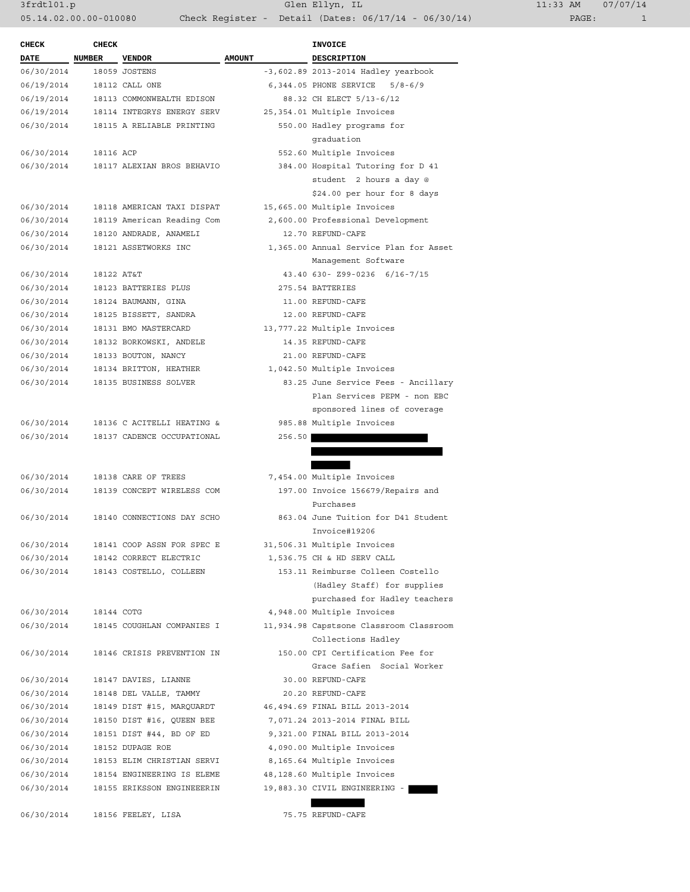| $1:33$ AM |       | 07/07/14 |
|-----------|-------|----------|
|           | PAGE: |          |

| <b>CHECK</b> | <b>CHECK</b>  |                            |               | <b>INVOICE</b>                                                 |
|--------------|---------------|----------------------------|---------------|----------------------------------------------------------------|
| <b>DATE</b>  | <b>NUMBER</b> | <b>VENDOR</b>              | <b>AMOUNT</b> | DESCRIPTION                                                    |
| 06/30/2014   |               | 18059 JOSTENS              |               | -3,602.89 2013-2014 Hadley yearbook                            |
| 06/19/2014   |               | 18112 CALL ONE             |               | 6,344.05 PHONE SERVICE<br>$5/8 - 6/9$                          |
| 06/19/2014   |               | 18113 COMMONWEALTH EDISON  |               | 88.32 CH ELECT 5/13-6/12                                       |
| 06/19/2014   |               | 18114 INTEGRYS ENERGY SERV |               | 25,354.01 Multiple Invoices                                    |
| 06/30/2014   |               | 18115 A RELIABLE PRINTING  |               | 550.00 Hadley programs for                                     |
|              |               |                            |               | qraduation                                                     |
| 06/30/2014   | 18116 ACP     |                            |               | 552.60 Multiple Invoices                                       |
| 06/30/2014   |               | 18117 ALEXIAN BROS BEHAVIO |               | 384.00 Hospital Tutoring for D 41                              |
|              |               |                            |               | student 2 hours a day @                                        |
|              |               |                            |               | \$24.00 per hour for 8 days                                    |
| 06/30/2014   |               | 18118 AMERICAN TAXI DISPAT |               | 15,665.00 Multiple Invoices                                    |
| 06/30/2014   |               | 18119 American Reading Com |               | 2,600.00 Professional Development                              |
| 06/30/2014   |               | 18120 ANDRADE, ANAMELI     |               | 12.70 REFUND-CAFE                                              |
| 06/30/2014   |               | 18121 ASSETWORKS INC       |               | 1,365.00 Annual Service Plan for Asset                         |
|              |               |                            |               | Management Software                                            |
| 06/30/2014   | 18122 AT&T    |                            |               | 43.40 630- Z99-0236 6/16-7/15                                  |
| 06/30/2014   |               | 18123 BATTERIES PLUS       |               | 275.54 BATTERIES                                               |
| 06/30/2014   |               | 18124 BAUMANN, GINA        |               | 11.00 REFUND-CAFE                                              |
| 06/30/2014   |               | 18125 BISSETT, SANDRA      |               | 12.00 REFUND-CAFE                                              |
| 06/30/2014   |               | 18131 BMO MASTERCARD       |               | 13,777.22 Multiple Invoices                                    |
| 06/30/2014   |               | 18132 BORKOWSKI, ANDELE    |               | 14.35 REFUND-CAFE                                              |
| 06/30/2014   |               | 18133 BOUTON, NANCY        |               | 21.00 REFUND-CAFE                                              |
| 06/30/2014   |               | 18134 BRITTON, HEATHER     |               | 1,042.50 Multiple Invoices                                     |
| 06/30/2014   |               | 18135 BUSINESS SOLVER      |               | 83.25 June Service Fees - Ancillary                            |
|              |               |                            |               | Plan Services PEPM - non EBC                                   |
|              |               |                            |               | sponsored lines of coverage                                    |
| 06/30/2014   |               | 18136 C ACITELLI HEATING & |               | 985.88 Multiple Invoices                                       |
| 06/30/2014   |               | 18137 CADENCE OCCUPATIONAL | 256.50        |                                                                |
|              |               |                            |               |                                                                |
|              |               |                            |               |                                                                |
| 06/30/2014   |               | 18138 CARE OF TREES        |               | 7,454.00 Multiple Invoices                                     |
| 06/30/2014   |               | 18139 CONCEPT WIRELESS COM |               | 197.00 Invoice 156679/Repairs and                              |
|              |               |                            |               | Purchases                                                      |
| 06/30/2014   |               | 18140 CONNECTIONS DAY SCHO |               | 863.04 June Tuition for D41 Student                            |
|              |               |                            |               | Invoice#19206                                                  |
| 06/30/2014   |               | 18141 COOP ASSN FOR SPEC E |               | 31,506.31 Multiple Invoices                                    |
| 06/30/2014   |               | 18142 CORRECT ELECTRIC     |               | 1,536.75 CH & HD SERV CALL                                     |
| 06/30/2014   |               | 18143 COSTELLO, COLLEEN    |               | 153.11 Reimburse Colleen Costello                              |
|              |               |                            |               | (Hadley Staff) for supplies                                    |
|              |               |                            |               | purchased for Hadley teachers                                  |
| 06/30/2014   | 18144 COTG    |                            |               | 4,948.00 Multiple Invoices                                     |
| 06/30/2014   |               | 18145 COUGHLAN COMPANIES I |               | 11,934.98 Capstsone Classroom Classroom<br>Collections Hadley  |
| 06/30/2014   |               | 18146 CRISIS PREVENTION IN |               | 150.00 CPI Certification Fee for<br>Grace Safien Social Worker |
| 06/30/2014   |               | 18147 DAVIES, LIANNE       |               | 30.00 REFUND-CAFE                                              |
| 06/30/2014   |               | 18148 DEL VALLE, TAMMY     |               | 20.20 REFUND-CAFE                                              |
| 06/30/2014   |               | 18149 DIST #15, MARQUARDT  |               | 46,494.69 FINAL BILL 2013-2014                                 |
| 06/30/2014   |               | 18150 DIST #16, QUEEN BEE  |               | 7,071.24 2013-2014 FINAL BILL                                  |
| 06/30/2014   |               | 18151 DIST #44, BD OF ED   |               | 9,321.00 FINAL BILL 2013-2014                                  |
| 06/30/2014   |               | 18152 DUPAGE ROE           |               | 4,090.00 Multiple Invoices                                     |
| 06/30/2014   |               | 18153 ELIM CHRISTIAN SERVI |               | 8,165.64 Multiple Invoices                                     |
| 06/30/2014   |               | 18154 ENGINEERING IS ELEME |               | 48,128.60 Multiple Invoices                                    |
| 06/30/2014   |               | 18155 ERIKSSON ENGINEEERIN |               | 19,883.30 CIVIL ENGINEERING -                                  |
|              |               |                            |               |                                                                |
|              |               |                            |               |                                                                |

06/30/2014 18156 FEELEY, LISA 75.75 REFUND-CAFE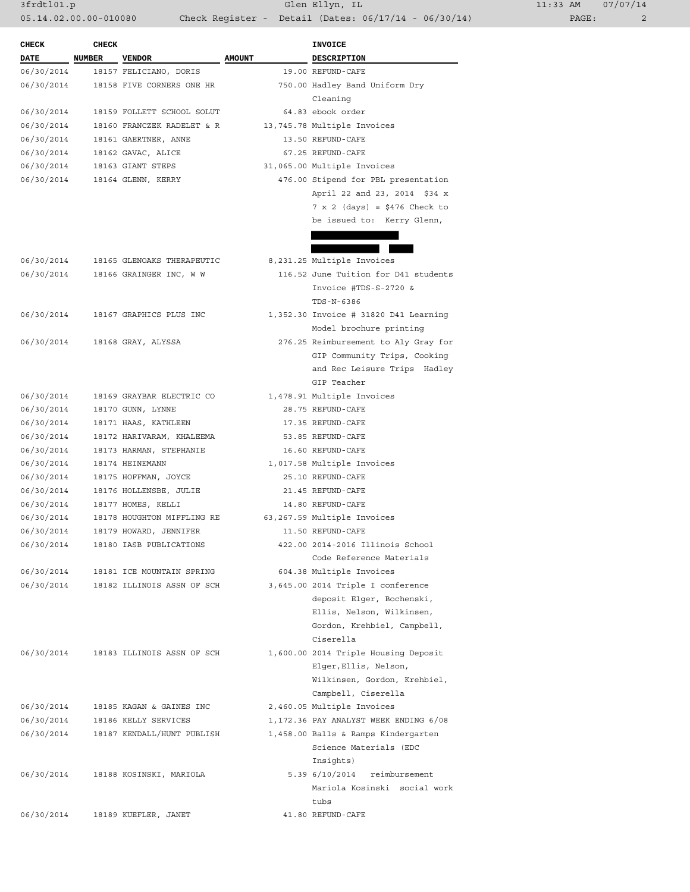3frdtl01.p Glen Ellyn, IL 11:33 AM 07/07/14 05.14.02.00.00-010080 Check Register - Detail (Dates: 06/17/14 - 06/30/14)

| <b>CHECK</b> | <b>CHECK</b> |                            |               | <b>INVOICE</b>                        |
|--------------|--------------|----------------------------|---------------|---------------------------------------|
| DATE         | NUMBER       | <b>VENDOR</b>              | <b>AMOUNT</b> | DESCRIPTION                           |
| 06/30/2014   |              | 18157 FELICIANO, DORIS     |               | 19.00 REFUND-CAFE                     |
| 06/30/2014   |              | 18158 FIVE CORNERS ONE HR  |               | 750.00 Hadley Band Uniform Dry        |
|              |              |                            |               | Cleaning                              |
| 06/30/2014   |              | 18159 FOLLETT SCHOOL SOLUT |               | 64.83 ebook order                     |
| 06/30/2014   |              | 18160 FRANCZEK RADELET & R |               | 13,745.78 Multiple Invoices           |
| 06/30/2014   |              | 18161 GAERTNER, ANNE       |               | 13.50 REFUND-CAFE                     |
| 06/30/2014   |              | 18162 GAVAC, ALICE         |               | 67.25 REFUND-CAFE                     |
| 06/30/2014   |              | 18163 GIANT STEPS          |               | 31,065.00 Multiple Invoices           |
| 06/30/2014   |              | 18164 GLENN, KERRY         |               | 476.00 Stipend for PBL presentation   |
|              |              |                            |               | April 22 and 23, 2014 \$34 x          |
|              |              |                            |               | $7 \times 2$ (days) = \$476 Check to  |
|              |              |                            |               | be issued to: Kerry Glenn,            |
|              |              |                            |               |                                       |
|              |              |                            |               |                                       |
| 06/30/2014   |              | 18165 GLENOAKS THERAPEUTIC |               | 8,231.25 Multiple Invoices            |
| 06/30/2014   |              | 18166 GRAINGER INC, W W    |               | 116.52 June Tuition for D41 students  |
|              |              |                            |               | Invoice #TDS-S-2720 &                 |
|              |              |                            |               | TDS-N-6386                            |
| 06/30/2014   |              | 18167 GRAPHICS PLUS INC    |               | 1,352.30 Invoice # 31820 D41 Learning |
|              |              |                            |               | Model brochure printing               |
| 06/30/2014   |              | 18168 GRAY, ALYSSA         |               | 276.25 Reimbursement to Aly Gray for  |
|              |              |                            |               | GIP Community Trips, Cooking          |
|              |              |                            |               | and Rec Leisure Trips Hadley          |
|              |              |                            |               | GIP Teacher                           |
| 06/30/2014   |              | 18169 GRAYBAR ELECTRIC CO  |               | 1,478.91 Multiple Invoices            |
| 06/30/2014   |              | 18170 GUNN, LYNNE          |               | 28.75 REFUND-CAFE                     |
| 06/30/2014   |              | 18171 HAAS, KATHLEEN       |               | 17.35 REFUND-CAFE                     |
| 06/30/2014   |              | 18172 HARIVARAM, KHALEEMA  |               | 53.85 REFUND-CAFE                     |
| 06/30/2014   |              | 18173 HARMAN, STEPHANIE    |               | 16.60 REFUND-CAFE                     |
| 06/30/2014   |              | 18174 HEINEMANN            |               | 1,017.58 Multiple Invoices            |
| 06/30/2014   |              | 18175 HOFFMAN, JOYCE       |               | 25.10 REFUND-CAFE                     |
| 06/30/2014   |              | 18176 HOLLENSBE, JULIE     |               | 21.45 REFUND-CAFE                     |
| 06/30/2014   |              | 18177 HOMES, KELLI         |               | 14.80 REFUND-CAFE                     |
| 06/30/2014   |              | 18178 HOUGHTON MIFFLING RE |               | 63,267.59 Multiple Invoices           |
| 06/30/2014   |              | 18179 HOWARD, JENNIFER     |               | 11.50 REFUND-CAFE                     |
| 06/30/2014   |              | 18180 IASB PUBLICATIONS    |               | 422.00 2014-2016 Illinois School      |
|              |              |                            |               | Code Reference Materials              |
| 06/30/2014   |              | 18181 ICE MOUNTAIN SPRING  |               | 604.38 Multiple Invoices              |
| 06/30/2014   |              | 18182 ILLINOIS ASSN OF SCH |               | 3,645.00 2014 Triple I conference     |
|              |              |                            |               | deposit Elger, Bochenski,             |
|              |              |                            |               | Ellis, Nelson, Wilkinsen,             |
|              |              |                            |               | Gordon, Krehbiel, Campbell,           |
|              |              |                            |               | Ciserella                             |
| 06/30/2014   |              | 18183 ILLINOIS ASSN OF SCH |               | 1,600.00 2014 Triple Housing Deposit  |
|              |              |                            |               | Elger, Ellis, Nelson,                 |
|              |              |                            |               | Wilkinsen, Gordon, Krehbiel,          |
|              |              |                            |               | Campbell, Ciserella                   |
|              |              |                            |               |                                       |
| 06/30/2014   |              | 18185 KAGAN & GAINES INC   |               | 2,460.05 Multiple Invoices            |
| 06/30/2014   |              | 18186 KELLY SERVICES       |               | 1,172.36 PAY ANALYST WEEK ENDING 6/08 |
| 06/30/2014   |              | 18187 KENDALL/HUNT PUBLISH |               | 1,458.00 Balls & Ramps Kindergarten   |
|              |              |                            |               | Science Materials (EDC                |
|              |              |                            |               | Insights)                             |
| 06/30/2014   |              | 18188 KOSINSKI, MARIOLA    |               | 5.39 6/10/2014 reimbursement          |
|              |              |                            |               | Mariola Kosinski social work          |
|              |              |                            |               | tubs                                  |
| 06/30/2014   |              | 18189 KUEFLER, JANET       |               | 41.80 REFUND-CAFE                     |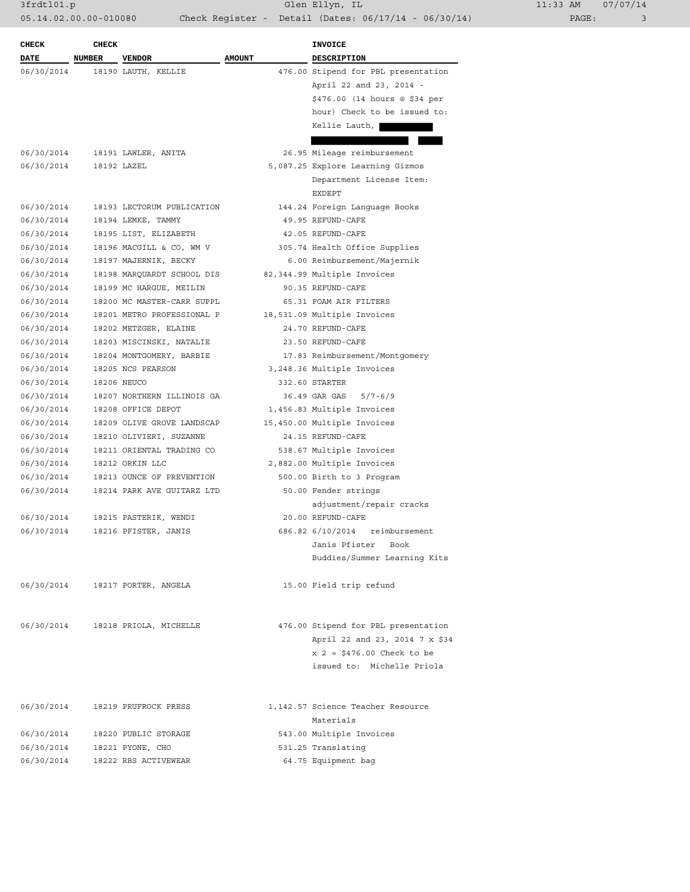| <b>CHECK</b> | <b>CHECK</b>  |                            |               | <b>INVOICE</b>                      |
|--------------|---------------|----------------------------|---------------|-------------------------------------|
| <b>DATE</b>  | <b>NUMBER</b> | <b>VENDOR</b>              | <b>AMOUNT</b> | <b>DESCRIPTION</b>                  |
| 06/30/2014   |               | 18190 LAUTH, KELLIE        |               | 476.00 Stipend for PBL presentation |
|              |               |                            |               | April 22 and 23, 2014 -             |
|              |               |                            |               | \$476.00 (14 hours @ \$34 per       |
|              |               |                            |               | hour) Check to be issued to:        |
|              |               |                            |               | Kellie Lauth,                       |
|              |               |                            |               |                                     |
| 06/30/2014   |               | 18191 LAWLER, ANITA        |               | 26.95 Mileage reimbursement         |
| 06/30/2014   |               | 18192 LAZEL                |               | 5,087.25 Explore Learning Gizmos    |
|              |               |                            |               | Department License Item:            |
|              |               |                            |               | <b>EXDEPT</b>                       |
| 06/30/2014   |               | 18193 LECTORUM PUBLICATION |               | 144.24 Foreign Language Books       |
|              |               |                            |               | 49.95 REFUND-CAFE                   |
| 06/30/2014   |               | 18194 LEMKE, TAMMY         |               |                                     |
| 06/30/2014   |               | 18195 LIST, ELIZABETH      |               | 42.05 REFUND-CAFE                   |
| 06/30/2014   |               | 18196 MACGILL & CO, WM V   |               | 305.74 Health Office Supplies       |
| 06/30/2014   |               | 18197 MAJERNIK, BECKY      |               | 6.00 Reimbursement/Majernik         |
| 06/30/2014   |               | 18198 MARQUARDT SCHOOL DIS |               | 82,344.99 Multiple Invoices         |
| 06/30/2014   |               | 18199 MC HARGUE, MEILIN    |               | 90.35 REFUND-CAFE                   |
| 06/30/2014   |               | 18200 MC MASTER-CARR SUPPL |               | 65.31 FOAM AIR FILTERS              |
| 06/30/2014   |               | 18201 METRO PROFESSIONAL P |               | 18,531.09 Multiple Invoices         |
| 06/30/2014   |               | 18202 METZGER, ELAINE      |               | 24.70 REFUND-CAFE                   |
| 06/30/2014   |               | 18203 MISCINSKI, NATALIE   |               | 23.50 REFUND-CAFE                   |
| 06/30/2014   |               | 18204 MONTGOMERY, BARBIE   |               | 17.83 Reimbursement/Montgomery      |
| 06/30/2014   |               | 18205 NCS PEARSON          |               | 3,248.36 Multiple Invoices          |
| 06/30/2014   |               | 18206 NEUCO                |               | 332.60 STARTER                      |
| 06/30/2014   |               | 18207 NORTHERN ILLINOIS GA |               | 36.49 GAR GAS<br>$5/7 - 6/9$        |
| 06/30/2014   |               | 18208 OFFICE DEPOT         |               | 1,456.83 Multiple Invoices          |
| 06/30/2014   |               | 18209 OLIVE GROVE LANDSCAP |               | 15,450.00 Multiple Invoices         |
| 06/30/2014   |               | 18210 OLIVIERI, SUZANNE    |               | 24.15 REFUND-CAFE                   |
| 06/30/2014   |               | 18211 ORIENTAL TRADING CO  |               | 538.67 Multiple Invoices            |
| 06/30/2014   |               | 18212 ORKIN LLC            |               | 2,882.00 Multiple Invoices          |
| 06/30/2014   |               | 18213 OUNCE OF PREVENTION  |               | 500.00 Birth to 3 Program           |
| 06/30/2014   |               | 18214 PARK AVE GUITARZ LTD |               | 50.00 Fender strings                |
|              |               |                            |               | adjustment/repair cracks            |
| 06/30/2014   |               | 18215 PASTERIK, WENDI      |               | 20.00 REFUND-CAFE                   |
| 06/30/2014   |               | 18216 PFISTER, JANIS       |               | 686.82 6/10/2014 reimbursement      |
|              |               |                            |               | Janis Pfister<br>Book               |
|              |               |                            |               | Buddies/Summer Learning Kits        |
|              |               |                            |               |                                     |
| 06/30/2014   |               | 18217 PORTER, ANGELA       |               | 15.00 Field trip refund             |
|              |               |                            |               |                                     |
| 06/30/2014   |               | 18218 PRIOLA, MICHELLE     |               | 476.00 Stipend for PBL presentation |
|              |               |                            |               | April 22 and 23, 2014 7 x \$34      |
|              |               |                            |               | $x$ 2 = \$476.00 Check to be        |
|              |               |                            |               | issued to: Michelle Priola          |
|              |               |                            |               |                                     |
| 06/30/2014   |               | 18219 PRUFROCK PRESS       |               | 1,142.57 Science Teacher Resource   |
|              |               |                            |               | Materials                           |
| 06/30/2014   |               | 18220 PUBLIC STORAGE       |               | 543.00 Multiple Invoices            |
| 06/30/2014   |               | 18221 PYONE, CHO           |               | 531.25 Translating                  |
| 06/30/2014   |               | 18222 RBS ACTIVEWEAR       |               | 64.75 Equipment bag                 |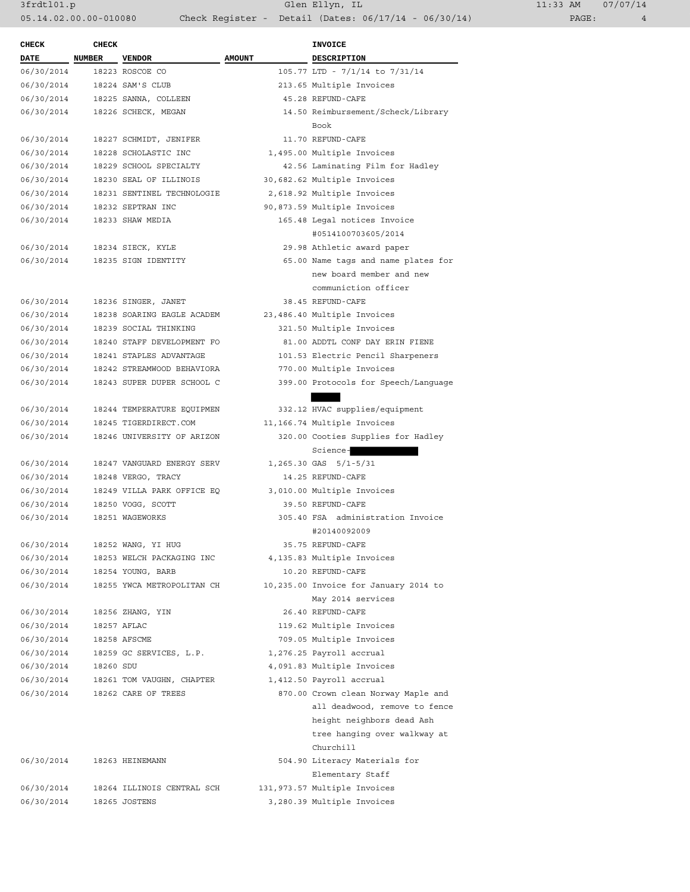3frdtl01.p Glen Ellyn, IL 11:33 AM 07/07/14 05.14.02.00.00-010080 Check Register - Detail (Dates: 06/17/14 - 06/30/14)

| <b>CHECK</b>               | <b>CHECK</b>  |                            |               | INVOICE                                                                |
|----------------------------|---------------|----------------------------|---------------|------------------------------------------------------------------------|
| <b>DATE</b>                | <b>NUMBER</b> | <b>VENDOR</b>              | <b>AMOUNT</b> | <b>DESCRIPTION</b>                                                     |
| 06/30/2014                 |               | 18223 ROSCOE CO            |               | 105.77 LTD - 7/1/14 to 7/31/14                                         |
| 06/30/2014                 |               | 18224 SAM'S CLUB           |               | 213.65 Multiple Invoices                                               |
| 06/30/2014                 |               | 18225 SANNA, COLLEEN       |               | 45.28 REFUND-CAFE                                                      |
| 06/30/2014                 |               | 18226 SCHECK, MEGAN        |               | 14.50 Reimbursement/Scheck/Library<br>Book                             |
| 06/30/2014                 |               | 18227 SCHMIDT, JENIFER     |               | 11.70 REFUND-CAFE                                                      |
| 06/30/2014                 |               | 18228 SCHOLASTIC INC       |               | 1,495.00 Multiple Invoices                                             |
| 06/30/2014                 |               | 18229 SCHOOL SPECIALTY     |               | 42.56 Laminating Film for Hadley                                       |
| 06/30/2014                 |               | 18230 SEAL OF ILLINOIS     |               | 30,682.62 Multiple Invoices                                            |
| 06/30/2014                 |               | 18231 SENTINEL TECHNOLOGIE |               | 2,618.92 Multiple Invoices                                             |
| 06/30/2014                 |               | 18232 SEPTRAN INC          |               | 90,873.59 Multiple Invoices                                            |
| 06/30/2014                 |               | 18233 SHAW MEDIA           |               | 165.48 Legal notices Invoice                                           |
|                            |               |                            |               | #0514100703605/2014                                                    |
| 06/30/2014                 |               | 18234 SIECK, KYLE          |               | 29.98 Athletic award paper                                             |
| 06/30/2014                 |               | 18235 SIGN IDENTITY        |               | 65.00 Name tags and name plates for                                    |
|                            |               |                            |               | new board member and new                                               |
|                            |               |                            |               | communiction officer                                                   |
| 06/30/2014                 |               | 18236 SINGER, JANET        |               | 38.45 REFUND-CAFE                                                      |
| 06/30/2014                 |               | 18238 SOARING EAGLE ACADEM |               | 23,486.40 Multiple Invoices                                            |
| 06/30/2014                 |               | 18239 SOCIAL THINKING      |               | 321.50 Multiple Invoices                                               |
| 06/30/2014                 |               | 18240 STAFF DEVELOPMENT FO |               | 81.00 ADDTL CONF DAY ERIN FIENE                                        |
| 06/30/2014                 |               | 18241 STAPLES ADVANTAGE    |               | 101.53 Electric Pencil Sharpeners                                      |
| 06/30/2014                 |               | 18242 STREAMWOOD BEHAVIORA |               | 770.00 Multiple Invoices                                               |
| 06/30/2014                 |               | 18243 SUPER DUPER SCHOOL C |               | 399.00 Protocols for Speech/Language                                   |
|                            |               |                            |               |                                                                        |
| 06/30/2014                 |               | 18244 TEMPERATURE EQUIPMEN |               | 332.12 HVAC supplies/equipment                                         |
| 06/30/2014                 |               | 18245 TIGERDIRECT.COM      |               | 11,166.74 Multiple Invoices                                            |
| 06/30/2014                 |               | 18246 UNIVERSITY OF ARIZON |               | 320.00 Cooties Supplies for Hadley                                     |
|                            |               |                            |               | Science-                                                               |
| 06/30/2014                 |               | 18247 VANGUARD ENERGY SERV |               | 1,265.30 GAS 5/1-5/31                                                  |
| 06/30/2014                 |               | 18248 VERGO, TRACY         |               | 14.25 REFUND-CAFE                                                      |
| 06/30/2014                 |               | 18249 VILLA PARK OFFICE EO |               | 3,010.00 Multiple Invoices                                             |
| 06/30/2014                 |               | 18250 VOGG, SCOTT          |               | 39.50 REFUND-CAFE                                                      |
| 06/30/2014                 |               | 18251 WAGEWORKS            |               | 305.40 FSA administration Invoice                                      |
|                            |               |                            |               | #20140092009                                                           |
| 06/30/2014                 |               | 18252 WANG, YI HUG         |               | 35.75 REFUND-CAFE                                                      |
| 06/30/2014                 |               | 18253 WELCH PACKAGING INC  |               | 4,135.83 Multiple Invoices                                             |
| 06/30/2014                 |               | 18254 YOUNG, BARB          |               | 10.20 REFUND-CAFE                                                      |
| 06/30/2014                 |               | 18255 YWCA METROPOLITAN CH |               | 10,235.00 Invoice for January 2014 to                                  |
|                            |               |                            |               | May 2014 services                                                      |
| 06/30/2014                 |               | 18256 ZHANG, YIN           |               | 26.40 REFUND-CAFE                                                      |
| 06/30/2014                 |               | 18257 AFLAC                |               | 119.62 Multiple Invoices                                               |
| 06/30/2014                 |               | 18258 AFSCME               |               | 709.05 Multiple Invoices                                               |
| 06/30/2014                 |               | 18259 GC SERVICES, L.P.    |               | 1,276.25 Payroll accrual                                               |
| 06/30/2014                 | 18260 SDU     |                            |               | 4,091.83 Multiple Invoices                                             |
| 06/30/2014                 |               | 18261 TOM VAUGHN, CHAPTER  |               | 1,412.50 Payroll accrual                                               |
| 06/30/2014                 |               | 18262 CARE OF TREES        |               | 870.00 Crown clean Norway Maple and                                    |
|                            |               |                            |               | all deadwood, remove to fence                                          |
|                            |               |                            |               |                                                                        |
|                            |               |                            |               | height neighbors dead Ash<br>tree hanging over walkway at<br>Churchill |
| 06/30/2014 18263 HEINEMANN |               |                            |               | 504.90 Literacy Materials for                                          |
|                            |               |                            |               | Elementary Staff                                                       |
|                            |               |                            |               |                                                                        |
| 06/30/2014                 |               | 18264 ILLINOIS CENTRAL SCH |               | 131,973.57 Multiple Invoices                                           |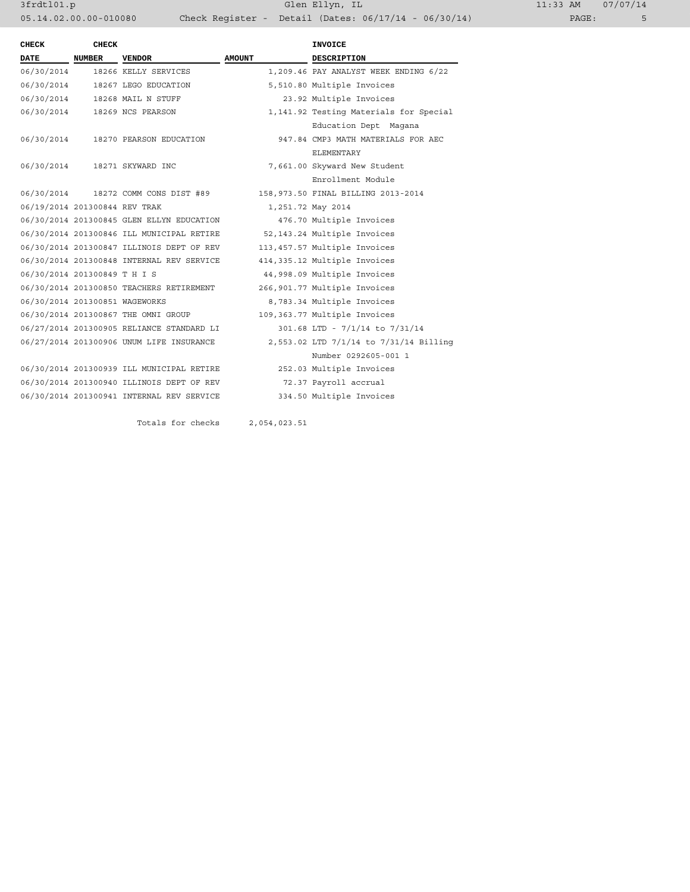| <b>CHECK</b>                   | <b>CHECK</b>  |                                           |               | <b>INVOICE</b>                         |
|--------------------------------|---------------|-------------------------------------------|---------------|----------------------------------------|
| <b>DATE</b>                    | <b>NUMBER</b> | <b>VENDOR</b>                             | <b>AMOUNT</b> | <b>DESCRIPTION</b>                     |
| 06/30/2014                     |               | 18266 KELLY SERVICES                      |               | 1,209.46 PAY ANALYST WEEK ENDING 6/22  |
| 06/30/2014                     |               | 18267 LEGO EDUCATION                      |               | 5,510.80 Multiple Invoices             |
| 06/30/2014                     |               | 18268 MAIL N STUFF                        |               | 23.92 Multiple Invoices                |
| 06/30/2014                     |               | 18269 NCS PEARSON                         |               | 1,141.92 Testing Materials for Special |
|                                |               |                                           |               | Education Dept Magana                  |
| 06/30/2014                     |               | 18270 PEARSON EDUCATION                   |               | 947.84 CMP3 MATH MATERIALS FOR AEC     |
|                                |               |                                           |               | <b>ELEMENTARY</b>                      |
| 06/30/2014                     |               | 18271 SKYWARD INC                         |               | 7,661.00 Skyward New Student           |
|                                |               |                                           |               | Enrollment Module                      |
|                                |               | 06/30/2014 18272 COMM CONS DIST #89       |               | 158,973.50 FINAL BILLING 2013-2014     |
| 06/19/2014 201300844 REV TRAK  |               |                                           |               | 1,251.72 May 2014                      |
|                                |               | 06/30/2014 201300845 GLEN ELLYN EDUCATION |               | 476.70 Multiple Invoices               |
|                                |               | 06/30/2014 201300846 ILL MUNICIPAL RETIRE |               | 52, 143.24 Multiple Invoices           |
|                                |               | 06/30/2014 201300847 ILLINOIS DEPT OF REV |               | 113,457.57 Multiple Invoices           |
|                                |               | 06/30/2014 201300848 INTERNAL REV SERVICE |               | 414,335.12 Multiple Invoices           |
| 06/30/2014 201300849 T H I S   |               |                                           |               | 44,998.09 Multiple Invoices            |
|                                |               | 06/30/2014 201300850 TEACHERS RETIREMENT  |               | 266,901.77 Multiple Invoices           |
| 06/30/2014 201300851 WAGEWORKS |               |                                           |               | 8,783.34 Multiple Invoices             |
|                                |               | 06/30/2014 201300867 THE OMNI GROUP       |               | 109,363.77 Multiple Invoices           |
|                                |               | 06/27/2014 201300905 RELIANCE STANDARD LI |               | 301.68 LTD - 7/1/14 to 7/31/14         |
|                                |               | 06/27/2014 201300906 UNUM LIFE INSURANCE  |               | 2,553.02 LTD 7/1/14 to 7/31/14 Billing |
|                                |               |                                           |               | Number 0292605-001 1                   |
|                                |               | 06/30/2014 201300939 ILL MUNICIPAL RETIRE |               | 252.03 Multiple Invoices               |
|                                |               | 06/30/2014 201300940 ILLINOIS DEPT OF REV |               | 72.37 Payroll accrual                  |
|                                |               | 06/30/2014 201300941 INTERNAL REV SERVICE |               | 334.50 Multiple Invoices               |
|                                |               |                                           |               |                                        |

Totals for checks 2,054,023.51